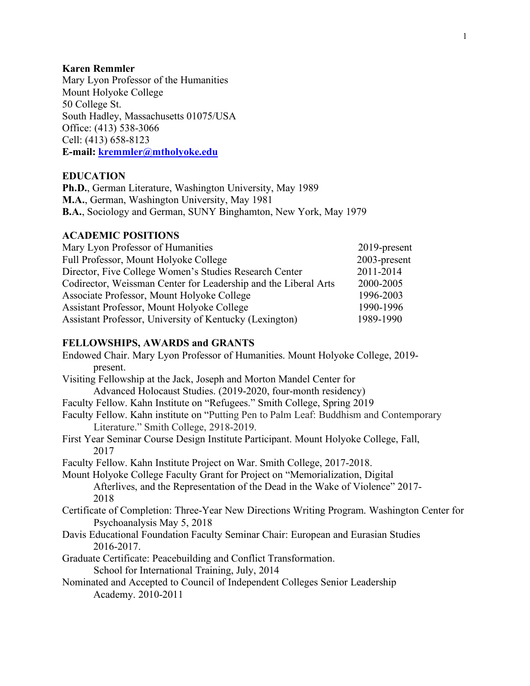### **Karen Remmler**

Mary Lyon Professor of the Humanities Mount Holyoke College 50 College St. South Hadley, Massachusetts 01075/USA Office: (413) 538-3066 Cell: (413) 658-8123 **E-mail: kremmler@mtholyoke.edu**

#### **EDUCATION**

**Ph.D.**, German Literature, Washington University, May 1989 **M.A.**, German, Washington University, May 1981 **B.A.**, Sociology and German, SUNY Binghamton, New York, May 1979

## **ACADEMIC POSITIONS**

| Mary Lyon Professor of Humanities                               | 2019-present |
|-----------------------------------------------------------------|--------------|
| Full Professor, Mount Holyoke College                           | 2003-present |
| Director, Five College Women's Studies Research Center          | 2011-2014    |
| Codirector, Weissman Center for Leadership and the Liberal Arts | 2000-2005    |
| Associate Professor, Mount Holyoke College                      | 1996-2003    |
| Assistant Professor, Mount Holyoke College                      | 1990-1996    |
| Assistant Professor, University of Kentucky (Lexington)         | 1989-1990    |

## **FELLOWSHIPS, AWARDS and GRANTS**

| Endowed Chair. Mary Lyon Professor of Humanities. Mount Holyoke College, 2019-<br>present.                                       |
|----------------------------------------------------------------------------------------------------------------------------------|
| Visiting Fellowship at the Jack, Joseph and Morton Mandel Center for                                                             |
| Advanced Holocaust Studies. (2019-2020, four-month residency)                                                                    |
| Faculty Fellow. Kahn Institute on "Refugees." Smith College, Spring 2019                                                         |
| Faculty Fellow. Kahn institute on "Putting Pen to Palm Leaf: Buddhism and Contemporary<br>Literature." Smith College, 2918-2019. |
| First Year Seminar Course Design Institute Participant. Mount Holyoke College, Fall,<br>2017                                     |
| Faculty Fellow. Kahn Institute Project on War. Smith College, 2017-2018.                                                         |
| Mount Holyoke College Faculty Grant for Project on "Memorialization, Digital                                                     |
| Afterlives, and the Representation of the Dead in the Wake of Violence" 2017-                                                    |
| 2018                                                                                                                             |
| Certificate of Completion: Three-Year New Directions Writing Program. Washington Center for                                      |
| Psychoanalysis May 5, 2018                                                                                                       |
| Davis Educational Foundation Faculty Seminar Chair: European and Eurasian Studies<br>2016-2017.                                  |
| Graduate Certificate: Peacebuilding and Conflict Transformation.                                                                 |
| School for International Training, July, 2014                                                                                    |
| Nominated and Accepted to Council of Independent Colleges Senior Leadership<br>Academy. 2010-2011                                |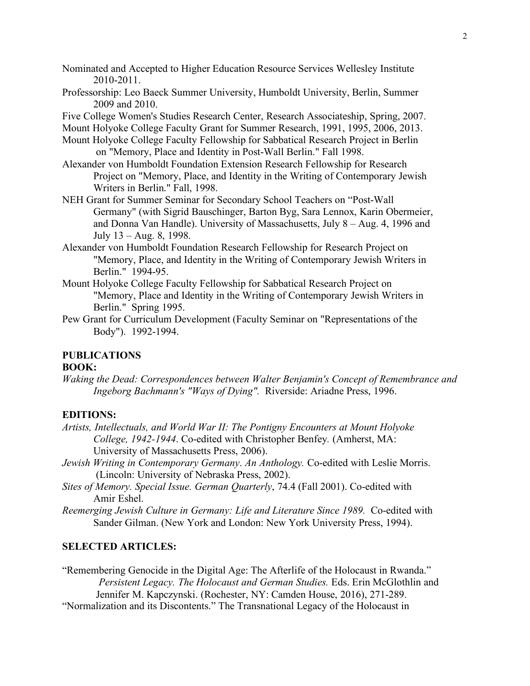Nominated and Accepted to Higher Education Resource Services Wellesley Institute 2010-2011.

- Professorship: Leo Baeck Summer University, Humboldt University, Berlin, Summer 2009 and 2010.
- Five College Women's Studies Research Center, Research Associateship, Spring, 2007.
- Mount Holyoke College Faculty Grant for Summer Research, 1991, 1995, 2006, 2013.
- Mount Holyoke College Faculty Fellowship for Sabbatical Research Project in Berlin on "Memory, Place and Identity in Post-Wall Berlin." Fall 1998.
- Alexander von Humboldt Foundation Extension Research Fellowship for Research Project on "Memory, Place, and Identity in the Writing of Contemporary Jewish Writers in Berlin." Fall, 1998.
- NEH Grant for Summer Seminar for Secondary School Teachers on "Post-Wall Germany" (with Sigrid Bauschinger, Barton Byg, Sara Lennox, Karin Obermeier, and Donna Van Handle). University of Massachusetts, July 8 – Aug. 4, 1996 and July 13 – Aug. 8, 1998.
- Alexander von Humboldt Foundation Research Fellowship for Research Project on "Memory, Place, and Identity in the Writing of Contemporary Jewish Writers in Berlin." 1994-95.
- Mount Holyoke College Faculty Fellowship for Sabbatical Research Project on "Memory, Place and Identity in the Writing of Contemporary Jewish Writers in Berlin." Spring 1995.
- Pew Grant for Curriculum Development (Faculty Seminar on "Representations of the Body"). 1992-1994.

# **PUBLICATIONS**

## **BOOK:**

*Waking the Dead: Correspondences between Walter Benjamin's Concept of Remembrance and Ingeborg Bachmann's "Ways of Dying".* Riverside: Ariadne Press, 1996.

#### **EDITIONS:**

- *Artists, Intellectuals, and World War II: The Pontigny Encounters at Mount Holyoke College, 1942-1944*. Co-edited with Christopher Benfey*.* (Amherst, MA: University of Massachusetts Press, 2006).
- *Jewish Writing in Contemporary Germany*. *An Anthology.* Co-edited with Leslie Morris. (Lincoln: University of Nebraska Press, 2002).
- *Sites of Memory. Special Issue. German Quarterly*, 74.4 (Fall 2001). Co-edited with Amir Eshel.
- *Reemerging Jewish Culture in Germany: Life and Literature Since 1989.* Co-edited with Sander Gilman. (New York and London: New York University Press, 1994).

#### **SELECTED ARTICLES:**

"Remembering Genocide in the Digital Age: The Afterlife of the Holocaust in Rwanda." *Persistent Legacy. The Holocaust and German Studies.* Eds. Erin McGlothlin and Jennifer M. Kapczynski. (Rochester, NY: Camden House, 2016), 271-289.

"Normalization and its Discontents." The Transnational Legacy of the Holocaust in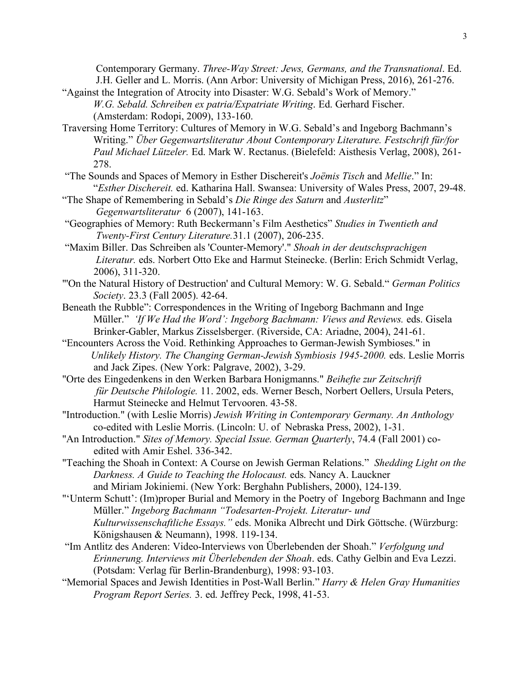Contemporary Germany. *Three-Way Street: Jews, Germans, and the Transnational*. Ed. J.H. Geller and L. Morris. (Ann Arbor: University of Michigan Press, 2016), 261-276.

- "Against the Integration of Atrocity into Disaster: W.G. Sebald's Work of Memory." *W.G. Sebald. Schreiben ex patria/Expatriate Writing*. Ed. Gerhard Fischer. (Amsterdam: Rodopi, 2009), 133-160.
- Traversing Home Territory: Cultures of Memory in W.G. Sebald's and Ingeborg Bachmann's Writing." *Über Gegenwartsliteratur About Contemporary Literature. Festschrift für/for Paul Michael Lützeler.* Ed. Mark W. Rectanus. (Bielefeld: Aisthesis Verlag, 2008), 261- 278.
- "The Sounds and Spaces of Memory in Esther Dischereit's *Joëmis Tisch* and *Mellie*." In: "*Esther Dischereit.* ed. Katharina Hall. Swansea: University of Wales Press, 2007, 29-48.
- "The Shape of Remembering in Sebald's *Die Ringe des Saturn* and *Austerlitz*" *Gegenwartsliteratur* 6 (2007), 141-163.
- "Geographies of Memory: Ruth Beckermann's Film Aesthetics" *Studies in Twentieth and Twenty-First Century Literature.*31.1 (2007), 206-235.
- "Maxim Biller. Das Schreiben als 'Counter-Memory'." *Shoah in der deutschsprachigen Literatur.* eds. Norbert Otto Eke and Harmut Steinecke. (Berlin: Erich Schmidt Verlag, 2006), 311-320.
- "'On the Natural History of Destruction' and Cultural Memory: W. G. Sebald." *German Politics Society*. 23.3 (Fall 2005). 42-64.
- Beneath the Rubble": Correspondences in the Writing of Ingeborg Bachmann and Inge Müller." *'If We Had the Word': Ingeborg Bachmann: Views and Reviews.* eds. Gisela Brinker-Gabler, Markus Zisselsberger. (Riverside, CA: Ariadne, 2004), 241-61.
- "Encounters Across the Void. Rethinking Approaches to German-Jewish Symbioses." in *Unlikely History. The Changing German-Jewish Symbiosis 1945-2000.* eds. Leslie Morris and Jack Zipes. (New York: Palgrave, 2002), 3-29.
- "Orte des Eingedenkens in den Werken Barbara Honigmanns." *Beihefte zur Zeitschrift für Deutsche Philologie.* 11. 2002, eds. Werner Besch, Norbert Oellers, Ursula Peters, Harmut Steinecke and Helmut Tervooren. 43-58.
- "Introduction." (with Leslie Morris) *Jewish Writing in Contemporary Germany. An Anthology* co-edited with Leslie Morris. (Lincoln: U. of Nebraska Press, 2002), 1-31.
- "An Introduction." *Sites of Memory. Special Issue. German Quarterly*, 74.4 (Fall 2001) co edited with Amir Eshel. 336-342.
- "Teaching the Shoah in Context: A Course on Jewish German Relations." *Shedding Light on the Darkness. A Guide to Teaching the Holocaust.* eds. Nancy A. Lauckner and Miriam Jokiniemi. (New York: Berghahn Publishers, 2000), 124-139.
- "'Unterm Schutt': (Im)proper Burial and Memory in the Poetry of Ingeborg Bachmann and Inge Müller." *Ingeborg Bachmann "Todesarten-Projekt. Literatur- und Kulturwissenschaftliche Essays."* eds. Monika Albrecht und Dirk Göttsche. (Würzburg: Königshausen & Neumann), 1998. 119-134.
- "Im Antlitz des Anderen: Video-Interviews von Überlebenden der Shoah." *Verfolgung und Erinnerung. Interviews mit Überlebenden der Shoah*. eds. Cathy Gelbin and Eva Lezzi. (Potsdam: Verlag für Berlin-Brandenburg), 1998: 93-103.
- "Memorial Spaces and Jewish Identities in Post-Wall Berlin." *Harry & Helen Gray Humanities Program Report Series.* 3. ed. Jeffrey Peck, 1998, 41-53.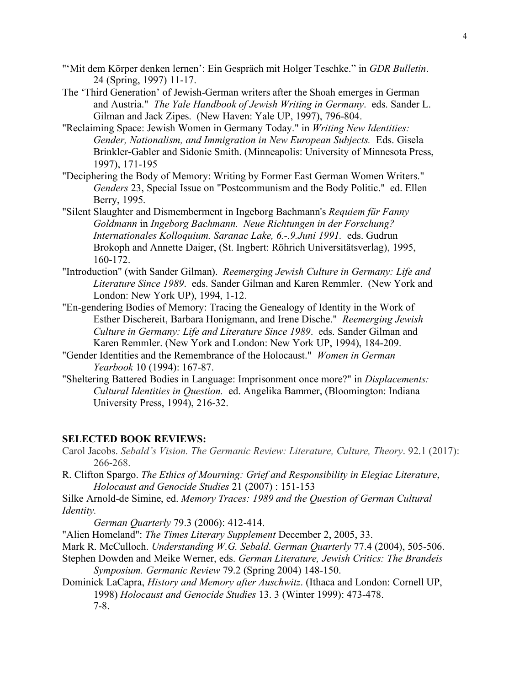- "'Mit dem Körper denken lernen': Ein Gespräch mit Holger Teschke." in *GDR Bulletin*. 24 (Spring, 1997) 11-17.
- The 'Third Generation' of Jewish-German writers after the Shoah emerges in German and Austria." *The Yale Handbook of Jewish Writing in Germany*. eds. Sander L. Gilman and Jack Zipes. (New Haven: Yale UP, 1997), 796-804.
- "Reclaiming Space: Jewish Women in Germany Today." in *Writing New Identities: Gender, Nationalism, and Immigration in New European Subjects.* Eds. Gisela Brinkler-Gabler and Sidonie Smith. (Minneapolis: University of Minnesota Press, 1997), 171-195
- "Deciphering the Body of Memory: Writing by Former East German Women Writers." *Genders* 23, Special Issue on "Postcommunism and the Body Politic." ed. Ellen Berry, 1995.
- "Silent Slaughter and Dismemberment in Ingeborg Bachmann's *Requiem für Fanny Goldmann* in *Ingeborg Bachmann. Neue Richtungen in der Forschung? Internationales Kolloquium. Saranac Lake, 6.-.9.Juni 1991.* eds. Gudrun Brokoph and Annette Daiger, (St. Ingbert: Röhrich Universitätsverlag), 1995, 160-172.
- "Introduction" (with Sander Gilman). *Reemerging Jewish Culture in Germany: Life and Literature Since 1989*. eds. Sander Gilman and Karen Remmler. (New York and London: New York UP), 1994, 1-12.
- "En-gendering Bodies of Memory: Tracing the Genealogy of Identity in the Work of Esther Dischereit, Barbara Honigmann, and Irene Dische." *Reemerging Jewish Culture in Germany: Life and Literature Since 1989*. eds. Sander Gilman and Karen Remmler. (New York and London: New York UP, 1994), 184-209.
- "Gender Identities and the Remembrance of the Holocaust." *Women in German Yearbook* 10 (1994): 167-87.
- "Sheltering Battered Bodies in Language: Imprisonment once more?" in *Displacements: Cultural Identities in Question.* ed. Angelika Bammer, (Bloomington: Indiana University Press, 1994), 216-32.

#### **SELECTED BOOK REVIEWS:**

- Carol Jacobs. *Sebald's Vision. The Germanic Review: Literature, Culture, Theory*. 92.1 (2017): 266-268.
- R. Clifton Spargo. *The Ethics of Mourning: Grief and Responsibility in Elegiac Literature*,  *Holocaust and Genocide Studies* 21 (2007) : 151-153
- Silke Arnold-de Simine, ed. *Memory Traces: 1989 and the Question of German Cultural Identity.*

 *German Quarterly* 79.3 (2006): 412-414.

"Alien Homeland": *The Times Literary Supplement* December 2, 2005, 33.

- Mark R. McCulloch. *Understanding W.G. Sebald*. *German Quarterly* 77.4 (2004), 505-506.
- Stephen Dowden and Meike Werner, eds. *German Literature, Jewish Critics: The Brandeis Symposium. Germanic Review* 79.2 (Spring 2004) 148-150.
- Dominick LaCapra, *History and Memory after Auschwitz*. (Ithaca and London: Cornell UP, 1998) *Holocaust and Genocide Studies* 13. 3 (Winter 1999): 473-478. 7-8.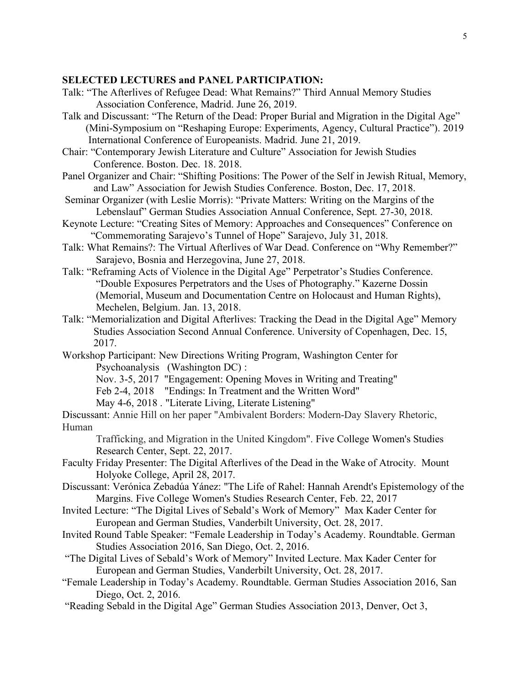#### **SELECTED LECTURES and PANEL PARTICIPATION:**

- Talk: "The Afterlives of Refugee Dead: What Remains?" Third Annual Memory Studies Association Conference, Madrid. June 26, 2019.
- Talk and Discussant: "The Return of the Dead: Proper Burial and Migration in the Digital Age" (Mini-Symposium on "Reshaping Europe: Experiments, Agency, Cultural Practice"). 2019 International Conference of Europeanists. Madrid. June 21, 2019.
- Chair: "Contemporary Jewish Literature and Culture" Association for Jewish Studies Conference. Boston. Dec. 18. 2018.
- Panel Organizer and Chair: "Shifting Positions: The Power of the Self in Jewish Ritual, Memory, and Law" Association for Jewish Studies Conference. Boston, Dec. 17, 2018.
- Seminar Organizer (with Leslie Morris): "Private Matters: Writing on the Margins of the Lebenslauf" German Studies Association Annual Conference, Sept. 27-30, 2018.
- Keynote Lecture: "Creating Sites of Memory: Approaches and Consequences" Conference on "Commemorating Sarajevo's Tunnel of Hope" Sarajevo, July 31, 2018.
- Talk: What Remains?: The Virtual Afterlives of War Dead. Conference on "Why Remember?" Sarajevo, Bosnia and Herzegovina, June 27, 2018.
- Talk: "Reframing Acts of Violence in the Digital Age" Perpetrator's Studies Conference. "Double Exposures Perpetrators and the Uses of Photography." Kazerne Dossin (Memorial, Museum and Documentation Centre on Holocaust and Human Rights), Mechelen, Belgium. Jan. 13, 2018.
- Talk: "Memorialization and Digital Afterlives: Tracking the Dead in the Digital Age" Memory Studies Association Second Annual Conference. University of Copenhagen, Dec. 15, 2017.
- Workshop Participant: New Directions Writing Program, Washington Center for Psychoanalysis (Washington DC) :
	- Nov. 3-5, 2017 "Engagement: Opening Moves in Writing and Treating"
	- Feb 2-4, 2018 "Endings: In Treatment and the Written Word"
	- May 4-6, 2018 . "Literate Living, Literate Listening"
- Discussant: Annie Hill on her paper "Ambivalent Borders: Modern-Day Slavery Rhetoric, Human
	- Trafficking, and Migration in the United Kingdom". Five College Women's Studies Research Center, Sept. 22, 2017.
- Faculty Friday Presenter: The Digital Afterlives of the Dead in the Wake of Atrocity. Mount Holyoke College, April 28, 2017.
- Discussant: Verónica Zebadúa Yánez: "The Life of Rahel: Hannah Arendt's Epistemology of the Margins. Five College Women's Studies Research Center, Feb. 22, 2017
- Invited Lecture: "The Digital Lives of Sebald's Work of Memory" Max Kader Center for European and German Studies, Vanderbilt University, Oct. 28, 2017.
- Invited Round Table Speaker: "Female Leadership in Today's Academy. Roundtable. German Studies Association 2016, San Diego, Oct. 2, 2016.
- "The Digital Lives of Sebald's Work of Memory" Invited Lecture. Max Kader Center for European and German Studies, Vanderbilt University, Oct. 28, 2017.
- "Female Leadership in Today's Academy. Roundtable. German Studies Association 2016, San Diego, Oct. 2, 2016.
- "Reading Sebald in the Digital Age" German Studies Association 2013, Denver, Oct 3,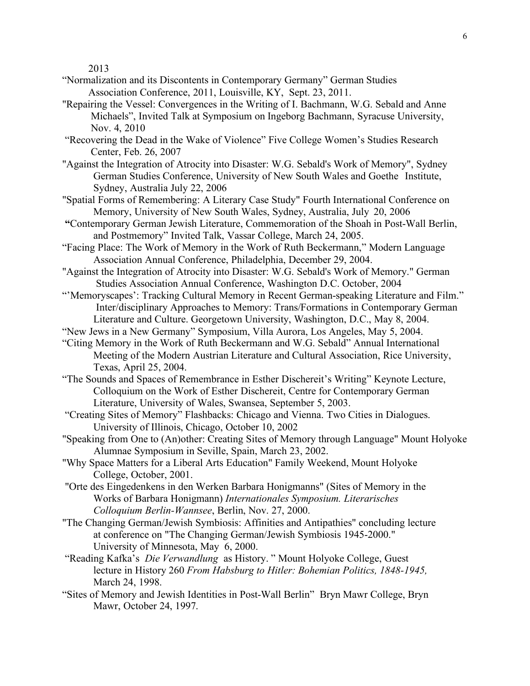2013

- "Normalization and its Discontents in Contemporary Germany" German Studies Association Conference, 2011, Louisville, KY, Sept. 23, 2011.
- "Repairing the Vessel: Convergences in the Writing of I. Bachmann, W.G. Sebald and Anne Michaels", Invited Talk at Symposium on Ingeborg Bachmann, Syracuse University, Nov. 4, 2010
- "Recovering the Dead in the Wake of Violence" Five College Women's Studies Research Center, Feb. 26, 2007
- "Against the Integration of Atrocity into Disaster: W.G. Sebald's Work of Memory", Sydney German Studies Conference, University of New South Wales and Goethe Institute, Sydney, Australia July 22, 2006
- "Spatial Forms of Remembering: A Literary Case Study" Fourth International Conference on Memory, University of New South Wales, Sydney, Australia, July 20, 2006
- **"**Contemporary German Jewish Literature, Commemoration of the Shoah in Post-Wall Berlin, and Postmemory" Invited Talk, Vassar College, March 24, 2005.
- "Facing Place: The Work of Memory in the Work of Ruth Beckermann," Modern Language Association Annual Conference, Philadelphia, December 29, 2004.
- "Against the Integration of Atrocity into Disaster: W.G. Sebald's Work of Memory." German Studies Association Annual Conference, Washington D.C. October, 2004
- "'Memoryscapes': Tracking Cultural Memory in Recent German-speaking Literature and Film." Inter/disciplinary Approaches to Memory: Trans/Formations in Contemporary German Literature and Culture. Georgetown University, Washington, D.C., May 8, 2004.
- "New Jews in a New Germany" Symposium, Villa Aurora, Los Angeles, May 5, 2004.
- "Citing Memory in the Work of Ruth Beckermann and W.G. Sebald" Annual International Meeting of the Modern Austrian Literature and Cultural Association, Rice University, Texas, April 25, 2004.
- "The Sounds and Spaces of Remembrance in Esther Dischereit's Writing" Keynote Lecture, Colloquium on the Work of Esther Dischereit, Centre for Contemporary German Literature, University of Wales, Swansea, September 5, 2003.
- "Creating Sites of Memory" Flashbacks: Chicago and Vienna. Two Cities in Dialogues. University of Illinois, Chicago, October 10, 2002
- "Speaking from One to (An)other: Creating Sites of Memory through Language" Mount Holyoke Alumnae Symposium in Seville, Spain, March 23, 2002.
- "Why Space Matters for a Liberal Arts Education" Family Weekend, Mount Holyoke College, October, 2001.
- "Orte des Eingedenkens in den Werken Barbara Honigmanns" (Sites of Memory in the Works of Barbara Honigmann) *Internationales Symposium. Literarisches Colloquium Berlin-Wannsee*, Berlin, Nov. 27, 2000.
- "The Changing German/Jewish Symbiosis: Affinities and Antipathies" concluding lecture at conference on "The Changing German/Jewish Symbiosis 1945-2000." University of Minnesota, May 6, 2000.
- "Reading Kafka's *Die Verwandlung* as History. " Mount Holyoke College, Guest lecture in History 260 *From Habsburg to Hitler: Bohemian Politics, 1848-1945,*  March 24, 1998.
- "Sites of Memory and Jewish Identities in Post-Wall Berlin" Bryn Mawr College, Bryn Mawr, October 24, 1997.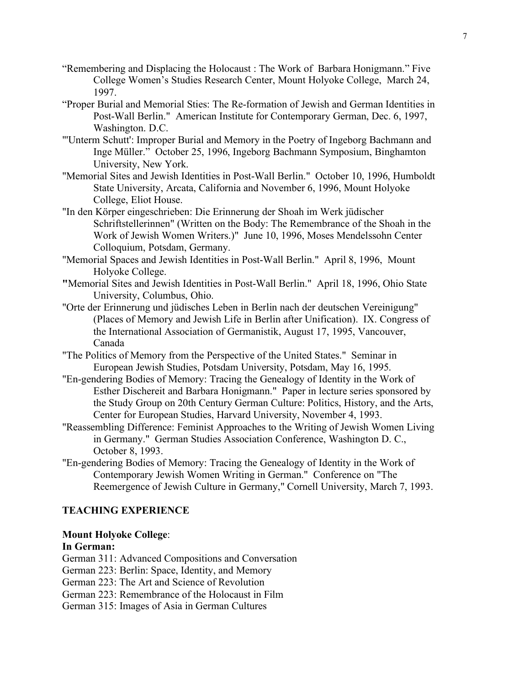- "Remembering and Displacing the Holocaust : The Work of Barbara Honigmann." Five College Women's Studies Research Center, Mount Holyoke College, March 24, 1997.
- "Proper Burial and Memorial Sties: The Re-formation of Jewish and German Identities in Post-Wall Berlin." American Institute for Contemporary German, Dec. 6, 1997, Washington. D.C.
- "'Unterm Schutt': Improper Burial and Memory in the Poetry of Ingeborg Bachmann and Inge Müller." October 25, 1996, Ingeborg Bachmann Symposium, Binghamton University, New York.
- "Memorial Sites and Jewish Identities in Post-Wall Berlin." October 10, 1996, Humboldt State University, Arcata, California and November 6, 1996, Mount Holyoke College, Eliot House.
- "In den Körper eingeschrieben: Die Erinnerung der Shoah im Werk jüdischer Schriftstellerinnen" (Written on the Body: The Remembrance of the Shoah in the Work of Jewish Women Writers.)" June 10, 1996, Moses Mendelssohn Center Colloquium, Potsdam, Germany.
- "Memorial Spaces and Jewish Identities in Post-Wall Berlin." April 8, 1996, Mount Holyoke College.
- **"**Memorial Sites and Jewish Identities in Post-Wall Berlin." April 18, 1996, Ohio State University, Columbus, Ohio.
- "Orte der Erinnerung und jüdisches Leben in Berlin nach der deutschen Vereinigung" (Places of Memory and Jewish Life in Berlin after Unification). IX. Congress of the International Association of Germanistik, August 17, 1995, Vancouver, Canada
- "The Politics of Memory from the Perspective of the United States." Seminar in European Jewish Studies, Potsdam University, Potsdam, May 16, 1995.
- "En-gendering Bodies of Memory: Tracing the Genealogy of Identity in the Work of Esther Dischereit and Barbara Honigmann." Paper in lecture series sponsored by the Study Group on 20th Century German Culture: Politics, History, and the Arts, Center for European Studies, Harvard University, November 4, 1993.
- "Reassembling Difference: Feminist Approaches to the Writing of Jewish Women Living in Germany." German Studies Association Conference, Washington D. C., October 8, 1993.
- "En-gendering Bodies of Memory: Tracing the Genealogy of Identity in the Work of Contemporary Jewish Women Writing in German." Conference on "The Reemergence of Jewish Culture in Germany," Cornell University, March 7, 1993.

## **TEACHING EXPERIENCE**

#### **Mount Holyoke College**:

#### **In German:**

German 311: Advanced Compositions and Conversation

- German 223: Berlin: Space, Identity, and Memory
- German 223: The Art and Science of Revolution
- German 223: Remembrance of the Holocaust in Film

German 315: Images of Asia in German Cultures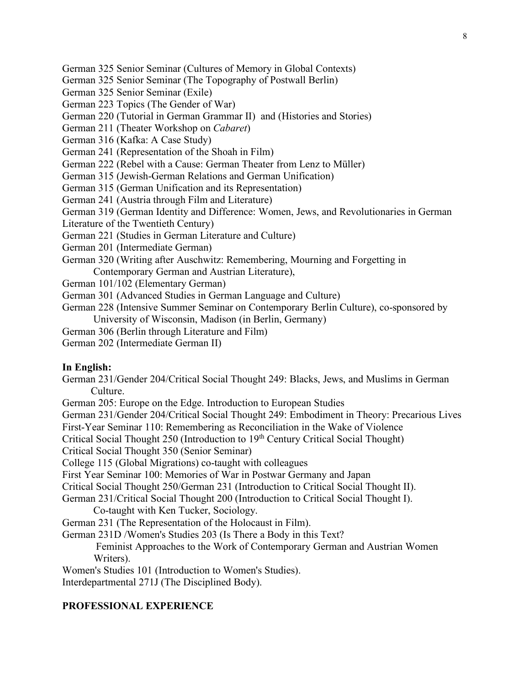German 325 Senior Seminar (Cultures of Memory in Global Contexts)

German 325 Senior Seminar (The Topography of Postwall Berlin)

German 325 Senior Seminar (Exile)

German 223 Topics (The Gender of War)

German 220 (Tutorial in German Grammar II) and (Histories and Stories)

German 211 (Theater Workshop on *Cabaret*)

German 316 (Kafka: A Case Study)

German 241 (Representation of the Shoah in Film)

German 222 (Rebel with a Cause: German Theater from Lenz to Müller)

German 315 (Jewish-German Relations and German Unification)

German 315 (German Unification and its Representation)

German 241 (Austria through Film and Literature)

German 319 (German Identity and Difference: Women, Jews, and Revolutionaries in German

Literature of the Twentieth Century)

German 221 (Studies in German Literature and Culture)

German 201 (Intermediate German)

German 320 (Writing after Auschwitz: Remembering, Mourning and Forgetting in Contemporary German and Austrian Literature),

German 101/102 (Elementary German)

German 301 (Advanced Studies in German Language and Culture)

German 228 (Intensive Summer Seminar on Contemporary Berlin Culture), co-sponsored by University of Wisconsin, Madison (in Berlin, Germany)

German 306 (Berlin through Literature and Film)

German 202 (Intermediate German II)

#### **In English:**

German 231/Gender 204/Critical Social Thought 249: Blacks, Jews, and Muslims in German Culture.

German 205: Europe on the Edge. Introduction to European Studies

German 231/Gender 204/Critical Social Thought 249: Embodiment in Theory: Precarious Lives

First-Year Seminar 110: Remembering as Reconciliation in the Wake of Violence

Critical Social Thought 250 (Introduction to 19<sup>th</sup> Century Critical Social Thought)

Critical Social Thought 350 (Senior Seminar)

College 115 (Global Migrations) co-taught with colleagues

First Year Seminar 100: Memories of War in Postwar Germany and Japan

Critical Social Thought 250/German 231 (Introduction to Critical Social Thought II).

German 231/Critical Social Thought 200 (Introduction to Critical Social Thought I).

Co-taught with Ken Tucker, Sociology.

German 231 (The Representation of the Holocaust in Film).

German 231D /Women's Studies 203 (Is There a Body in this Text?

 Feminist Approaches to the Work of Contemporary German and Austrian Women Writers).

Women's Studies 101 (Introduction to Women's Studies).

Interdepartmental 271J (The Disciplined Body).

#### **PROFESSIONAL EXPERIENCE**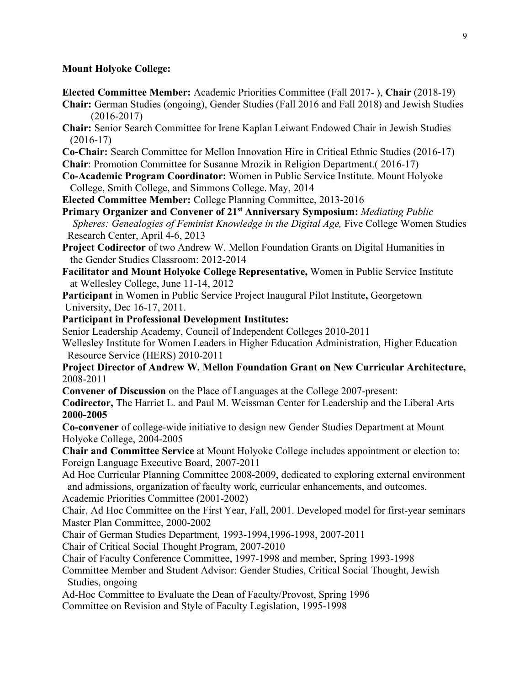#### **Mount Holyoke College:**

- **Elected Committee Member:** Academic Priorities Committee (Fall 2017- ), **Chair** (2018-19)
- **Chair:** German Studies (ongoing), Gender Studies (Fall 2016 and Fall 2018) and Jewish Studies (2016-2017)
- **Chair:** Senior Search Committee for Irene Kaplan Leiwant Endowed Chair in Jewish Studies (2016-17)
- **Co-Chair:** Search Committee for Mellon Innovation Hire in Critical Ethnic Studies (2016-17)
- **Chair**: Promotion Committee for Susanne Mrozik in Religion Department.( 2016-17)
- **Co-Academic Program Coordinator:** Women in Public Service Institute. Mount Holyoke College, Smith College, and Simmons College. May, 2014
- **Elected Committee Member:** College Planning Committee, 2013-2016
- **Primary Organizer and Convener of 21st Anniversary Symposium:** *Mediating Public Spheres: Genealogies of Feminist Knowledge in the Digital Age,* Five College Women Studies Research Center, April 4-6, 2013
- **Project Codirector** of two Andrew W. Mellon Foundation Grants on Digital Humanities in the Gender Studies Classroom: 2012-2014
- **Facilitator and Mount Holyoke College Representative,** Women in Public Service Institute at Wellesley College, June 11-14, 2012

**Participant** in Women in Public Service Project Inaugural Pilot Institute**,** Georgetown University, Dec 16-17, 2011.

**Participant in Professional Development Institutes:** 

Senior Leadership Academy, Council of Independent Colleges 2010-2011

Wellesley Institute for Women Leaders in Higher Education Administration, Higher Education Resource Service (HERS) 2010-2011

**Project Director of Andrew W. Mellon Foundation Grant on New Curricular Architecture,**  2008-2011

**Convener of Discussion** on the Place of Languages at the College 2007-present:

**Codirector,** The Harriet L. and Paul M. Weissman Center for Leadership and the Liberal Arts **2000-2005**

**Co-convener** of college-wide initiative to design new Gender Studies Department at Mount Holyoke College, 2004-2005

**Chair and Committee Service** at Mount Holyoke College includes appointment or election to: Foreign Language Executive Board, 2007-2011

Ad Hoc Curricular Planning Committee 2008-2009, dedicated to exploring external environment and admissions, organization of faculty work, curricular enhancements, and outcomes.

Academic Priorities Committee (2001-2002)

Chair, Ad Hoc Committee on the First Year, Fall, 2001. Developed model for first-year seminars Master Plan Committee, 2000-2002

Chair of German Studies Department, 1993-1994,1996-1998, 2007-2011

Chair of Critical Social Thought Program, 2007-2010

Chair of Faculty Conference Committee, 1997-1998 and member, Spring 1993-1998

Committee Member and Student Advisor: Gender Studies, Critical Social Thought, Jewish Studies, ongoing

Ad-Hoc Committee to Evaluate the Dean of Faculty/Provost, Spring 1996

Committee on Revision and Style of Faculty Legislation, 1995-1998